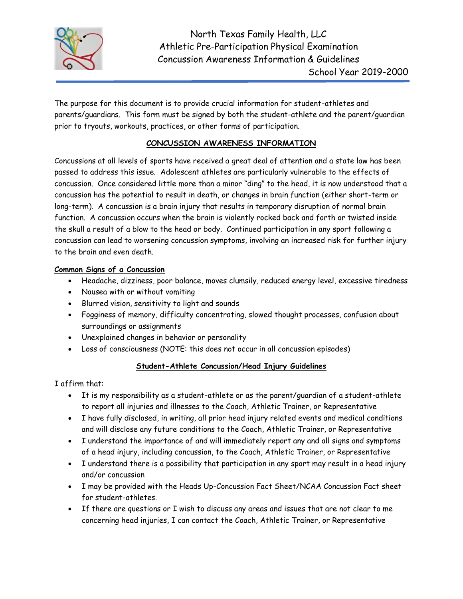

The purpose for this document is to provide crucial information for student-athletes and parents/guardians. This form must be signed by both the student-athlete and the parent/guardian prior to tryouts, workouts, practices, or other forms of participation.

## **CONCUSSION AWARENESS INFORMATION**

Concussions at all levels of sports have received a great deal of attention and a state law has been passed to address this issue. Adolescent athletes are particularly vulnerable to the effects of concussion. Once considered little more than a minor "ding" to the head, it is now understood that a concussion has the potential to result in death, or changes in brain function (either short-term or long-term). A concussion is a brain injury that results in temporary disruption of normal brain function. A concussion occurs when the brain is violently rocked back and forth or twisted inside the skull a result of a blow to the head or body. Continued participation in any sport following a concussion can lead to worsening concussion symptoms, involving an increased risk for further injury to the brain and even death.

## **Common Signs of a Concussion**

- Headache, dizziness, poor balance, moves clumsily, reduced energy level, excessive tiredness
- Nausea with or without vomiting
- Blurred vision, sensitivity to light and sounds
- Fogginess of memory, difficulty concentrating, slowed thought processes, confusion about surroundings or assignments
- Unexplained changes in behavior or personality
- Loss of consciousness (NOTE: this does not occur in all concussion episodes)

## **Student-Athlete Concussion/Head Injury Guidelines**

I affirm that:

- It is my responsibility as a student-athlete or as the parent/guardian of a student-athlete to report all injuries and illnesses to the Coach, Athletic Trainer, or Representative
- I have fully disclosed, in writing, all prior head injury related events and medical conditions and will disclose any future conditions to the Coach, Athletic Trainer, or Representative
- I understand the importance of and will immediately report any and all signs and symptoms of a head injury, including concussion, to the Coach, Athletic Trainer, or Representative
- I understand there is a possibility that participation in any sport may result in a head injury and/or concussion
- I may be provided with the Heads Up-Concussion Fact Sheet/NCAA Concussion Fact sheet for student-athletes.
- If there are questions or I wish to discuss any areas and issues that are not clear to me concerning head injuries, I can contact the Coach, Athletic Trainer, or Representative